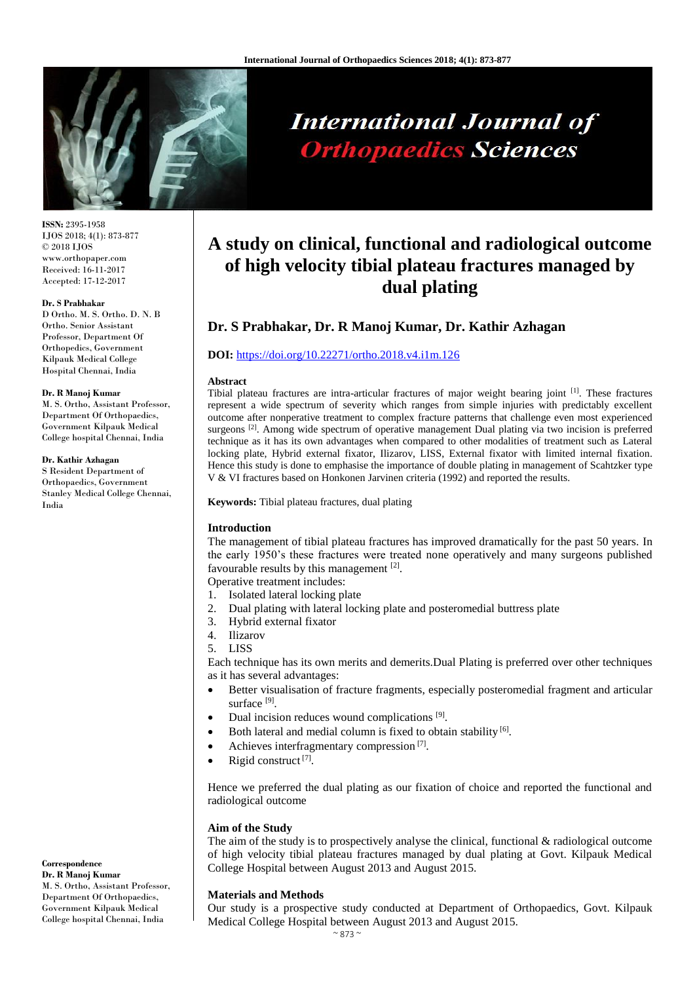

# **International Journal of Orthopaedics Sciences**

**ISSN:** 2395-1958 IJOS 2018; 4(1): 873-877 © 2018 IJOS www.orthopaper.com Received: 16-11-2017 Accepted: 17-12-2017

#### **Dr. S Prabhakar**

D Ortho. M. S. Ortho. D. N. B Ortho. Senior Assistant Professor, Department Of Orthopedics, Government Kilpauk Medical College Hospital Chennai, India

#### **Dr. R Manoj Kumar**

M. S. Ortho, Assistant Professor, Department Of Orthopaedics, Government Kilpauk Medical College hospital Chennai, India

#### **Dr. Kathir Azhagan**

S Resident Department of Orthopaedics, Government Stanley Medical College Chennai, India

# **A study on clinical, functional and radiological outcome of high velocity tibial plateau fractures managed by dual plating**

# **Dr. S Prabhakar, Dr. R Manoj Kumar, Dr. Kathir Azhagan**

#### **DOI:** <https://doi.org/10.22271/ortho.2018.v4.i1m.126>

#### **Abstract**

Tibial plateau fractures are intra-articular fractures of major weight bearing joint <sup>[1]</sup>. These fractures represent a wide spectrum of severity which ranges from simple injuries with predictably excellent outcome after nonperative treatment to complex fracture patterns that challenge even most experienced surgeons <sup>[2]</sup>. Among wide spectrum of operative management Dual plating via two incision is preferred technique as it has its own advantages when compared to other modalities of treatment such as Lateral locking plate, Hybrid external fixator, Ilizarov, LISS, External fixator with limited internal fixation. Hence this study is done to emphasise the importance of double plating in management of Scahtzker type V & VI fractures based on Honkonen Jarvinen criteria (1992) and reported the results.

**Keywords:** Tibial plateau fractures, dual plating

### **Introduction**

The management of tibial plateau fractures has improved dramatically for the past 50 years. In the early 1950's these fractures were treated none operatively and many surgeons published favourable results by this management [2].

Operative treatment includes:

- 1. Isolated lateral locking plate
- 2. Dual plating with lateral locking plate and posteromedial buttress plate
- 3. Hybrid external fixator
- 4. Ilizarov
- 5. LISS

Each technique has its own merits and demerits.Dual Plating is preferred over other techniques as it has several advantages:

- Better visualisation of fracture fragments, especially posteromedial fragment and articular surface<sup>[9]</sup>.
- $\bullet$  Dual incision reduces wound complications  $^{[9]}$ .
- Both lateral and medial column is fixed to obtain stability <sup>[6]</sup>.
- Achieves interfragmentary compression<sup>[7]</sup>.
- Rigid construct  $^{[7]}$ .

Hence we preferred the dual plating as our fixation of choice and reported the functional and radiological outcome

#### **Aim of the Study**

The aim of the study is to prospectively analyse the clinical, functional  $\&$  radiological outcome of high velocity tibial plateau fractures managed by dual plating at Govt. Kilpauk Medical College Hospital between August 2013 and August 2015.

#### **Materials and Methods**

Our study is a prospective study conducted at Department of Orthopaedics, Govt. Kilpauk Medical College Hospital between August 2013 and August 2015.

M. S. Ortho, Assistant Professor, Department Of Orthopaedics, Government Kilpauk Medical College hospital Chennai, India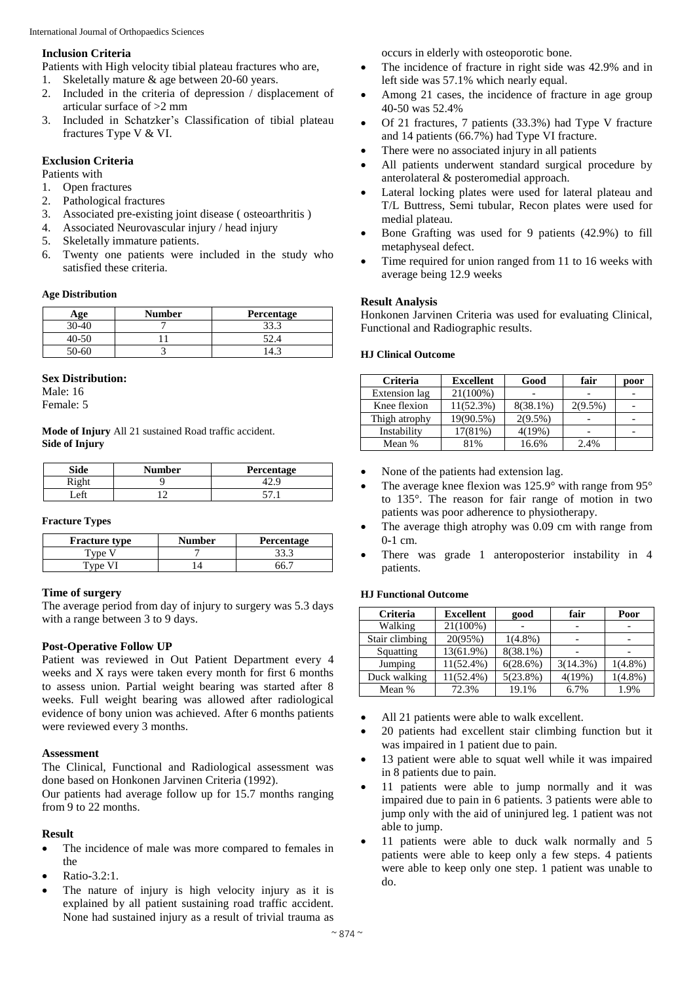#### **Inclusion Criteria**

Patients with High velocity tibial plateau fractures who are,

- 1. Skeletally mature & age between 20-60 years.
- 2. Included in the criteria of depression / displacement of articular surface of >2 mm
- 3. Included in Schatzker's Classification of tibial plateau fractures Type V & VI.

# **Exclusion Criteria**

Patients with

- 1. Open fractures
- 2. Pathological fractures
- 3. Associated pre-existing joint disease ( osteoarthritis )
- 4. Associated Neurovascular injury / head injury
- 5. Skeletally immature patients.
- 6. Twenty one patients were included in the study who satisfied these criteria.

#### **Age Distribution**

| Age       | <b>Number</b> | <b>Percentage</b> |
|-----------|---------------|-------------------|
| 30-40     |               | າາ າ              |
| 40-50     |               | 52.4              |
| $50 - 60$ |               |                   |

# **Sex Distribution:**

Male: 16

Female: 5

**Mode of Injury** All 21 sustained Road traffic accident. **Side of Injury**

| Side         | Number | Percentage |
|--------------|--------|------------|
| Rich         |        |            |
| $\mathbf{f}$ |        |            |

#### **Fracture Types**

| <b>Fracture type</b> | <b>Number</b> | <b>Percentage</b> |
|----------------------|---------------|-------------------|
| <b>vne</b>           |               |                   |
| Tyne V               |               |                   |

#### **Time of surgery**

The average period from day of injury to surgery was 5.3 days with a range between 3 to 9 days.

#### **Post-Operative Follow UP**

Patient was reviewed in Out Patient Department every 4 weeks and X rays were taken every month for first 6 months to assess union. Partial weight bearing was started after 8 weeks. Full weight bearing was allowed after radiological evidence of bony union was achieved. After 6 months patients were reviewed every 3 months.

#### **Assessment**

The Clinical, Functional and Radiological assessment was done based on Honkonen Jarvinen Criteria (1992).

Our patients had average follow up for 15.7 months ranging from 9 to 22 months.

#### **Result**

- The incidence of male was more compared to females in the
- Ratio**-**3.2:1.
- The nature of injury is high velocity injury as it is explained by all patient sustaining road traffic accident. None had sustained injury as a result of trivial trauma as

occurs in elderly with osteoporotic bone.

- The incidence of fracture in right side was 42.9% and in left side was 57.1% which nearly equal.
- Among 21 cases, the incidence of fracture in age group 40**-**50 was 52.4%
- Of 21 fractures, 7 patients (33.3%) had Type V fracture and 14 patients (66.7%) had Type VI fracture.
- There were no associated injury in all patients
- All patients underwent standard surgical procedure by anterolateral & posteromedial approach.
- Lateral locking plates were used for lateral plateau and T/L Buttress, Semi tubular, Recon plates were used for medial plateau.
- Bone Grafting was used for 9 patients (42.9%) to fill metaphyseal defect.
- Time required for union ranged from 11 to 16 weeks with average being 12.9 weeks

# **Result Analysis**

Honkonen Jarvinen Criteria was used for evaluating Clinical, Functional and Radiographic results.

#### **HJ Clinical Outcome**

| <b>Criteria</b> | <b>Excellent</b> | Good        | fair       | poor |
|-----------------|------------------|-------------|------------|------|
| Extension lag   | 21(100%)         |             |            |      |
| Knee flexion    | $11(52.3\%)$     | $8(38.1\%)$ | $2(9.5\%)$ |      |
| Thigh atrophy   | 19(90.5%)        | $2(9.5\%)$  |            |      |
| Instability     | 17(81%)          | 4(19%)      |            |      |
| Mean %          | 81%              | 16.6%       | 2.4%       |      |

- None of the patients had extension lag.
- The average knee flexion was 125.9° with range from 95° to 135°. The reason for fair range of motion in two patients was poor adherence to physiotherapy.
- The average thigh atrophy was 0.09 cm with range from 0**-**1 cm.
- There was grade 1 anteroposterior instability in 4 patients.

# **HJ Functional Outcome**

| <b>Criteria</b> | <b>Excellent</b> | good        | fair     | Poor       |  |
|-----------------|------------------|-------------|----------|------------|--|
| Walking         | 21(100%)         |             |          |            |  |
| Stair climbing  | 20(95%)          | $1(4.8\%)$  |          |            |  |
| Squatting       | 13(61.9%)        | $8(38.1\%)$ |          |            |  |
| Jumping         | $11(52.4\%)$     | 6(28.6%)    | 3(14.3%) | $1(4.8\%)$ |  |
| Duck walking    | $11(52.4\%)$     | $5(23.8\%)$ | 4(19%)   | $1(4.8\%)$ |  |
| Mean %          | 72.3%            | 19.1%       | 6.7%     | 1.9%       |  |

- All 21 patients were able to walk excellent.
- 20 patients had excellent stair climbing function but it was impaired in 1 patient due to pain.
- 13 patient were able to squat well while it was impaired in 8 patients due to pain.
- 11 patients were able to jump normally and it was impaired due to pain in 6 patients. 3 patients were able to jump only with the aid of uninjured leg. 1 patient was not able to jump.
- 11 patients were able to duck walk normally and 5 patients were able to keep only a few steps. 4 patients were able to keep only one step. 1 patient was unable to do.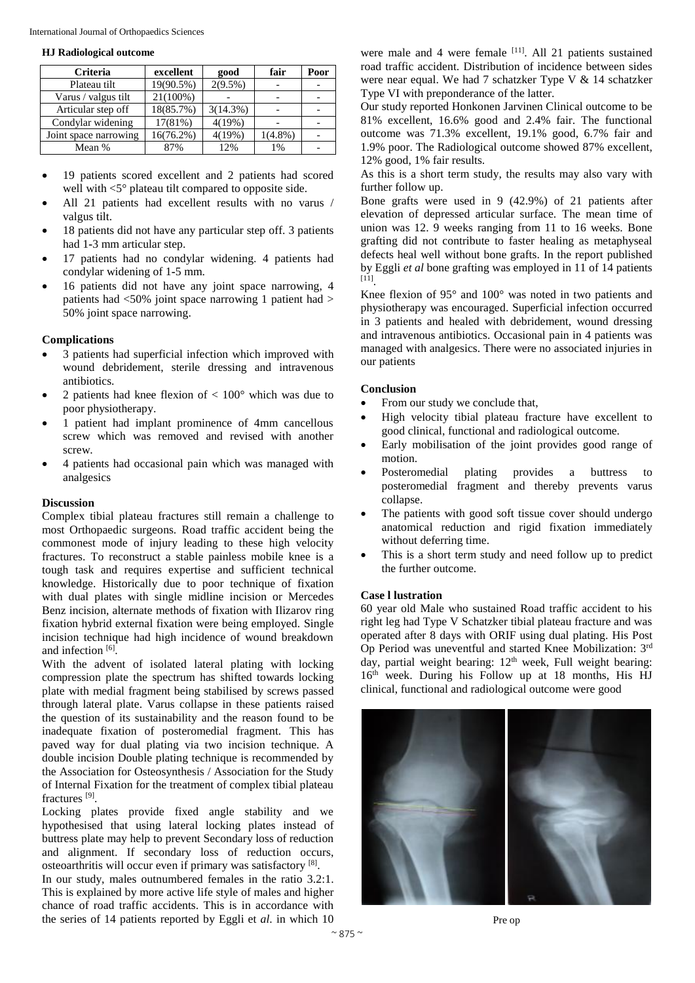#### **HJ Radiological outcome**

| <b>Criteria</b>       | excellent    | good       | fair       | Poor |
|-----------------------|--------------|------------|------------|------|
| Plateau tilt          | 19(90.5%)    | $2(9.5\%)$ |            |      |
| Varus / valgus tilt   | 21(100%)     |            |            |      |
| Articular step off    | 18(85.7%)    | 3(14.3%)   |            |      |
| Condylar widening     | $17(81\%)$   | 4(19%)     |            |      |
| Joint space narrowing | $16(76.2\%)$ | 4(19%)     | $1(4.8\%)$ |      |
| Mean %                | 87%          | 12%        | 1%         |      |

- 19 patients scored excellent and 2 patients had scored well with <5° plateau tilt compared to opposite side.
- All 21 patients had excellent results with no varus / valgus tilt.
- 18 patients did not have any particular step off. 3 patients had 1**-**3 mm articular step.
- 17 patients had no condylar widening. 4 patients had condylar widening of 1**-**5 mm.
- 16 patients did not have any joint space narrowing, 4 patients had <50% joint space narrowing 1 patient had > 50% joint space narrowing.

# **Complications**

- 3 patients had superficial infection which improved with wound debridement, sterile dressing and intravenous antibiotics.
- 2 patients had knee flexion of < 100° which was due to poor physiotherapy.
- 1 patient had implant prominence of 4mm cancellous screw which was removed and revised with another screw.
- 4 patients had occasional pain which was managed with analgesics

#### **Discussion**

Complex tibial plateau fractures still remain a challenge to most Orthopaedic surgeons. Road traffic accident being the commonest mode of injury leading to these high velocity fractures. To reconstruct a stable painless mobile knee is a tough task and requires expertise and sufficient technical knowledge. Historically due to poor technique of fixation with dual plates with single midline incision or Mercedes Benz incision, alternate methods of fixation with Ilizarov ring fixation hybrid external fixation were being employed. Single incision technique had high incidence of wound breakdown and infection [6].

With the advent of isolated lateral plating with locking compression plate the spectrum has shifted towards locking plate with medial fragment being stabilised by screws passed through lateral plate. Varus collapse in these patients raised the question of its sustainability and the reason found to be inadequate fixation of posteromedial fragment. This has paved way for dual plating via two incision technique. A double incision Double plating technique is recommended by the Association for Osteosynthesis / Association for the Study of Internal Fixation for the treatment of complex tibial plateau fractures<sup>[9]</sup>.

Locking plates provide fixed angle stability and we hypothesised that using lateral locking plates instead of buttress plate may help to prevent Secondary loss of reduction and alignment. If secondary loss of reduction occurs, osteoarthritis will occur even if primary was satisfactory<sup>[8]</sup>.

In our study, males outnumbered females in the ratio 3.2:1. This is explained by more active life style of males and higher chance of road traffic accidents. This is in accordance with the series of 14 patients reported by Eggli et *al*. in which 10

were male and 4 were female <sup>[11]</sup>. All 21 patients sustained road traffic accident. Distribution of incidence between sides were near equal. We had 7 schatzker Type V & 14 schatzker Type VI with preponderance of the latter.

Our study reported Honkonen Jarvinen Clinical outcome to be 81% excellent, 16.6% good and 2.4% fair. The functional outcome was 71.3% excellent, 19.1% good, 6.7% fair and 1.9% poor. The Radiological outcome showed 87% excellent, 12% good, 1% fair results.

As this is a short term study, the results may also vary with further follow up.

Bone grafts were used in 9 (42.9%) of 21 patients after elevation of depressed articular surface. The mean time of union was 12. 9 weeks ranging from 11 to 16 weeks. Bone grafting did not contribute to faster healing as metaphyseal defects heal well without bone grafts. In the report published by Eggli *et al* bone grafting was employed in 11 of 14 patients [11] .

Knee flexion of 95° and 100° was noted in two patients and physiotherapy was encouraged. Superficial infection occurred in 3 patients and healed with debridement, wound dressing and intravenous antibiotics. Occasional pain in 4 patients was managed with analgesics. There were no associated injuries in our patients

#### **Conclusion**

- From our study we conclude that,
- High velocity tibial plateau fracture have excellent to good clinical, functional and radiological outcome.
- Early mobilisation of the joint provides good range of motion.
- Posteromedial plating provides a buttress to posteromedial fragment and thereby prevents varus collapse.
- The patients with good soft tissue cover should undergo anatomical reduction and rigid fixation immediately without deferring time.
- This is a short term study and need follow up to predict the further outcome.

#### **Case l lustration**

60 year old Male who sustained Road traffic accident to his right leg had Type V Schatzker tibial plateau fracture and was operated after 8 days with ORIF using dual plating. His Post Op Period was uneventful and started Knee Mobilization: 3rd day, partial weight bearing: 12<sup>th</sup> week, Full weight bearing: 16<sup>th</sup> week. During his Follow up at 18 months, His HJ clinical, functional and radiological outcome were good



Pre op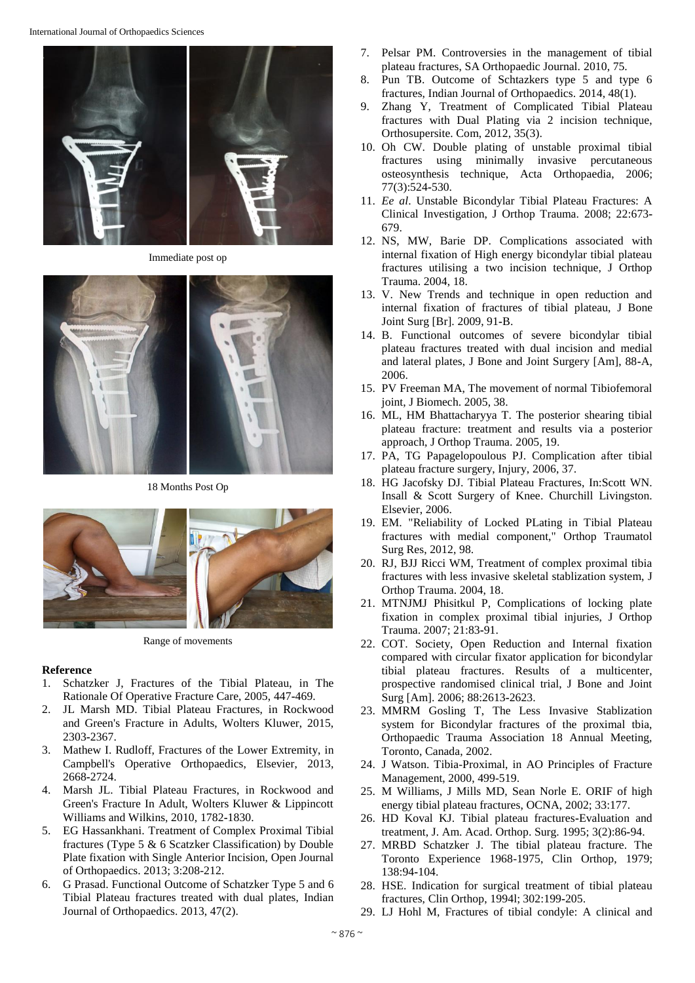

Immediate post op



18 Months Post Op



Range of movements

#### **Reference**

- 1. Schatzker J, Fractures of the Tibial Plateau, in The Rationale Of Operative Fracture Care, 2005, 447**-**469.
- 2. JL Marsh MD. Tibial Plateau Fractures, in Rockwood and Green's Fracture in Adults, Wolters Kluwer, 2015, 2303**-**2367.
- 3. Mathew I. Rudloff, Fractures of the Lower Extremity, in Campbell's Operative Orthopaedics, Elsevier, 2013, 2668**-**2724.
- 4. Marsh JL. Tibial Plateau Fractures, in Rockwood and Green's Fracture In Adult, Wolters Kluwer & Lippincott Williams and Wilkins, 2010, 1782**-**1830.
- 5. EG Hassankhani. Treatment of Complex Proximal Tibial fractures (Type 5 & 6 Scatzker Classification) by Double Plate fixation with Single Anterior Incision, Open Journal of Orthopaedics. 2013; 3:208-212.
- 6. G Prasad. Functional Outcome of Schatzker Type 5 and 6 Tibial Plateau fractures treated with dual plates, Indian Journal of Orthopaedics. 2013, 47(2).
- 7. Pelsar PM. Controversies in the management of tibial plateau fractures, SA Orthopaedic Journal. 2010, 75.
- 8. Pun TB. Outcome of Schtazkers type 5 and type 6 fractures, Indian Journal of Orthopaedics. 2014, 48(1).
- 9. Zhang Y, Treatment of Complicated Tibial Plateau fractures with Dual Plating via 2 incision technique, Orthosupersite. Com, 2012, 35(3).
- 10. Oh CW. Double plating of unstable proximal tibial fractures using minimally invasive percutaneous osteosynthesis technique, Acta Orthopaedia, 2006; 77(3):524**-**530.
- 11. *Ee al*. Unstable Bicondylar Tibial Plateau Fractures: A Clinical Investigation, J Orthop Trauma. 2008; 22:673**-** 679.
- 12. NS, MW, Barie DP. Complications associated with internal fixation of High energy bicondylar tibial plateau fractures utilising a two incision technique, J Orthop Trauma. 2004, 18.
- 13. V. New Trends and technique in open reduction and internal fixation of fractures of tibial plateau, J Bone Joint Surg [Br]. 2009, 91**-**B.
- 14. B. Functional outcomes of severe bicondylar tibial plateau fractures treated with dual incision and medial and lateral plates, J Bone and Joint Surgery [Am], 88**-**A, 2006.
- 15. PV Freeman MA, The movement of normal Tibiofemoral joint, J Biomech. 2005, 38.
- 16. ML, HM Bhattacharyya T. The posterior shearing tibial plateau fracture: treatment and results via a posterior approach, J Orthop Trauma. 2005, 19.
- 17. PA, TG Papagelopoulous PJ. Complication after tibial plateau fracture surgery, Injury, 2006, 37.
- 18. HG Jacofsky DJ. Tibial Plateau Fractures, In:Scott WN. Insall & Scott Surgery of Knee. Churchill Livingston. Elsevier, 2006.
- 19. EM. "Reliability of Locked PLating in Tibial Plateau fractures with medial component," Orthop Traumatol Surg Res, 2012, 98.
- 20. RJ, BJJ Ricci WM, Treatment of complex proximal tibia fractures with less invasive skeletal stablization system, J Orthop Trauma. 2004, 18.
- 21. MTNJMJ Phisitkul P, Complications of locking plate fixation in complex proximal tibial injuries, J Orthop Trauma. 2007; 21:83**-**91.
- 22. COT. Society, Open Reduction and Internal fixation compared with circular fixator application for bicondylar tibial plateau fractures. Results of a multicenter, prospective randomised clinical trial, J Bone and Joint Surg [Am]. 2006; 88:2613**-**2623.
- 23. MMRM Gosling T, The Less Invasive Stablization system for Bicondylar fractures of the proximal tbia, Orthopaedic Trauma Association 18 Annual Meeting, Toronto, Canada, 2002.
- 24. J Watson. Tibia-Proximal, in AO Principles of Fracture Management, 2000, 499-519.
- 25. M Williams, J Mills MD, Sean Norle E. ORIF of high energy tibial plateau fractures, OCNA, 2002; 33:177.
- 26. HD Koval KJ. Tibial plateau fractures**-**Evaluation and treatment, J. Am. Acad. Orthop. Surg. 1995; 3(2):86**-**94.
- 27. MRBD Schatzker J. The tibial plateau fracture. The Toronto Experience 1968-1975, Clin Orthop, 1979; 138:94**-**104.
- 28. HSE. Indication for surgical treatment of tibial plateau fractures, Clin Orthop, 1994l; 302:199**-**205.
- 29. LJ Hohl M, Fractures of tibial condyle: A clinical and